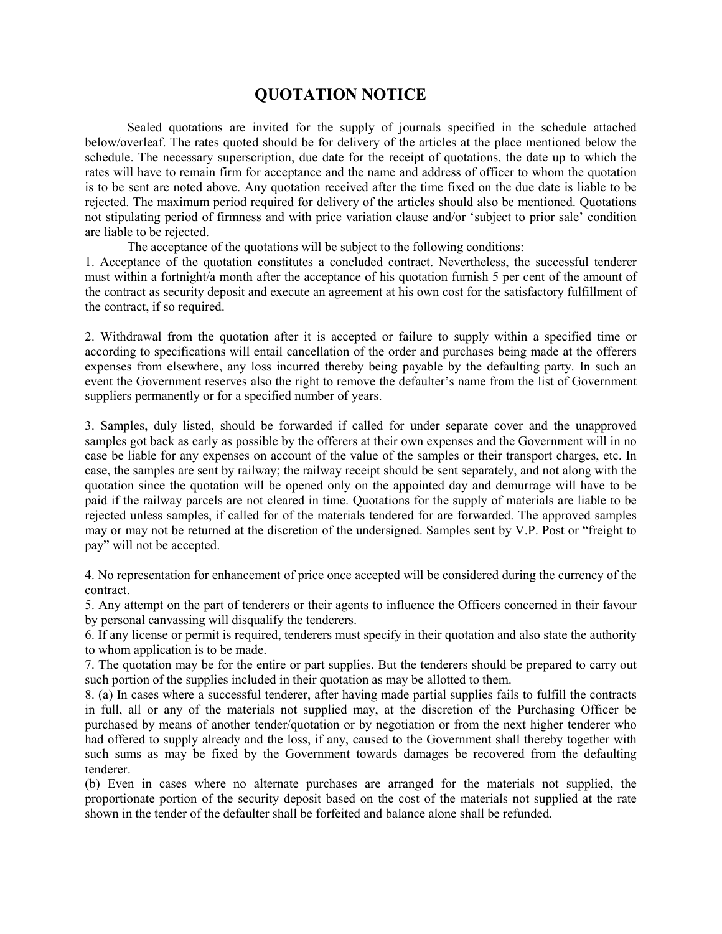## **QUOTATION NOTICE**

Sealed quotations are invited for the supply of journals specified in the schedule attached below/overleaf. The rates quoted should be for delivery of the articles at the place mentioned below the schedule. The necessary superscription, due date for the receipt of quotations, the date up to which the rates will have to remain firm for acceptance and the name and address of officer to whom the quotation is to be sent are noted above. Any quotation received after the time fixed on the due date is liable to be rejected. The maximum period required for delivery of the articles should also be mentioned. Quotations not stipulating period of firmness and with price variation clause and/or 'subject to prior sale' condition are liable to be rejected.

The acceptance of the quotations will be subject to the following conditions:

1. Acceptance of the quotation constitutes a concluded contract. Nevertheless, the successful tenderer must within a fortnight/a month after the acceptance of his quotation furnish 5 per cent of the amount of the contract as security deposit and execute an agreement at his own cost for the satisfactory fulfillment of the contract, if so required.

2. Withdrawal from the quotation after it is accepted or failure to supply within a specified time or according to specifications will entail cancellation of the order and purchases being made at the offerers expenses from elsewhere, any loss incurred thereby being payable by the defaulting party. In such an event the Government reserves also the right to remove the defaulter's name from the list of Government suppliers permanently or for a specified number of years.

3. Samples, duly listed, should be forwarded if called for under separate cover and the unapproved samples got back as early as possible by the offerers at their own expenses and the Government will in no case be liable for any expenses on account of the value of the samples or their transport charges, etc. In case, the samples are sent by railway; the railway receipt should be sent separately, and not along with the quotation since the quotation will be opened only on the appointed day and demurrage will have to be paid if the railway parcels are not cleared in time. Quotations for the supply of materials are liable to be rejected unless samples, if called for of the materials tendered for are forwarded. The approved samples may or may not be returned at the discretion of the undersigned. Samples sent by V.P. Post or "freight to pay" will not be accepted.

4. No representation for enhancement of price once accepted will be considered during the currency of the contract.

5. Any attempt on the part of tenderers or their agents to influence the Officers concerned in their favour by personal canvassing will disqualify the tenderers.

6. If any license or permit is required, tenderers must specify in their quotation and also state the authority to whom application is to be made.

7. The quotation may be for the entire or part supplies. But the tenderers should be prepared to carry out such portion of the supplies included in their quotation as may be allotted to them.

8. (a) In cases where a successful tenderer, after having made partial supplies fails to fulfill the contracts in full, all or any of the materials not supplied may, at the discretion of the Purchasing Officer be purchased by means of another tender/quotation or by negotiation or from the next higher tenderer who had offered to supply already and the loss, if any, caused to the Government shall thereby together with such sums as may be fixed by the Government towards damages be recovered from the defaulting tenderer.

(b) Even in cases where no alternate purchases are arranged for the materials not supplied, the proportionate portion of the security deposit based on the cost of the materials not supplied at the rate shown in the tender of the defaulter shall be forfeited and balance alone shall be refunded.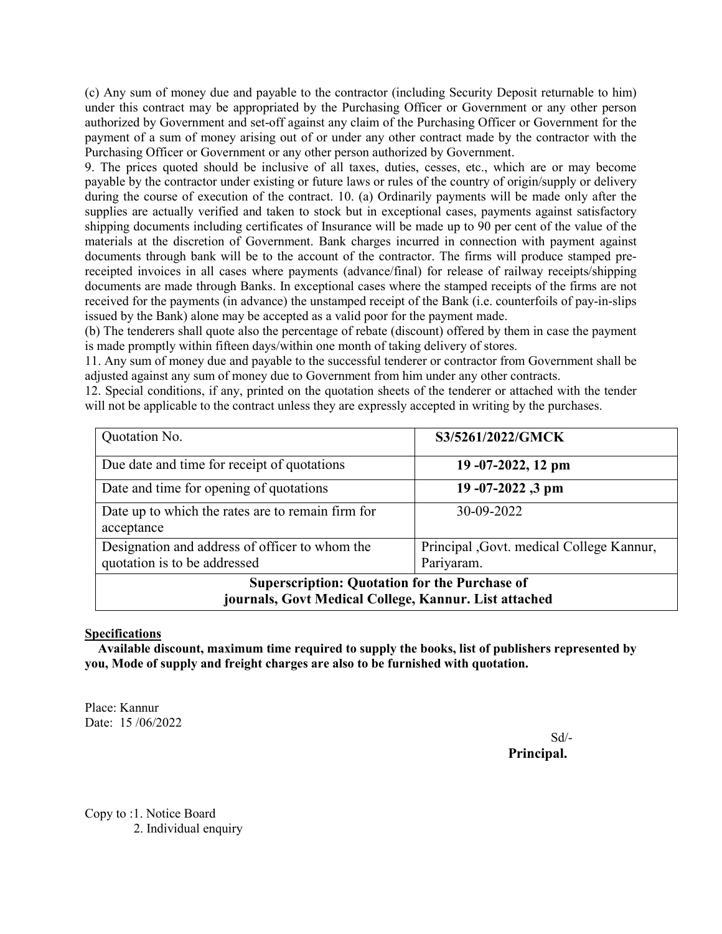(c) Any sum of money due and payable to the contractor (including Security Deposit returnable to him) under this contract may be appropriated by the Purchasing Officer or Government or any other person authorized by Government and set-off against any claim of the Purchasing Officer or Government for the payment of a sum of money arising out of or under any other contract made by the contractor with the Purchasing Officer or Government or any other person authorized by Government.

9. The prices quoted should be inclusive of all taxes, duties, cesses, etc., which are or may become payable by the contractor under existing or future laws or rules of the country of origin/supply or delivery during the course of execution of the contract. 10. (a) Ordinarily payments will be made only after the supplies are actually verified and taken to stock but in exceptional cases, payments against satisfactory shipping documents including certificates of Insurance will be made up to 90 per cent of the value of the materials at the discretion of Government. Bank charges incurred in connection with payment against documents through bank will be to the account of the contractor. The firms will produce stamped prereceipted invoices in all cases where payments (advance/final) for release of railway receipts/shipping documents are made through Banks. In exceptional cases where the stamped receipts of the firms are not received for the payments (in advance) the unstamped receipt of the Bank (i.e. counterfoils of pay-in-slips issued by the Bank) alone may be accepted as a valid poor for the payment made.

(b) The tenderers shall quote also the percentage of rebate (discount) offered by them in case the payment is made promptly within fifteen days/within one month of taking delivery of stores.

11. Any sum of money due and payable to the successful tenderer or contractor from Government shall be adjusted against any sum of money due to Government from him under any other contracts.

12. Special conditions, if any, printed on the quotation sheets of the tenderer or attached with the tender will not be applicable to the contract unless they are expressly accepted in writing by the purchases.

| Quotation No.                                                                                                 | S3/5261/2022/GMCK                                       |  |
|---------------------------------------------------------------------------------------------------------------|---------------------------------------------------------|--|
| Due date and time for receipt of quotations                                                                   | $19 - 07 - 2022$ , 12 pm                                |  |
| Date and time for opening of quotations                                                                       | 19-07-2022,3 pm                                         |  |
| Date up to which the rates are to remain firm for<br>acceptance                                               | 30-09-2022                                              |  |
| Designation and address of officer to whom the<br>quotation is to be addressed                                | Principal , Govt. medical College Kannur,<br>Pariyaram. |  |
| <b>Superscription: Quotation for the Purchase of</b><br>journals, Govt Medical College, Kannur. List attached |                                                         |  |

## **Specifications**

 **Available discount, maximum time required to supply the books, list of publishers represented by you, Mode of supply and freight charges are also to be furnished with quotation.** 

Place: Kannur Date: 15 /06/2022

Sd/- **Principal.**

Copy to :1. Notice Board 2. Individual enquiry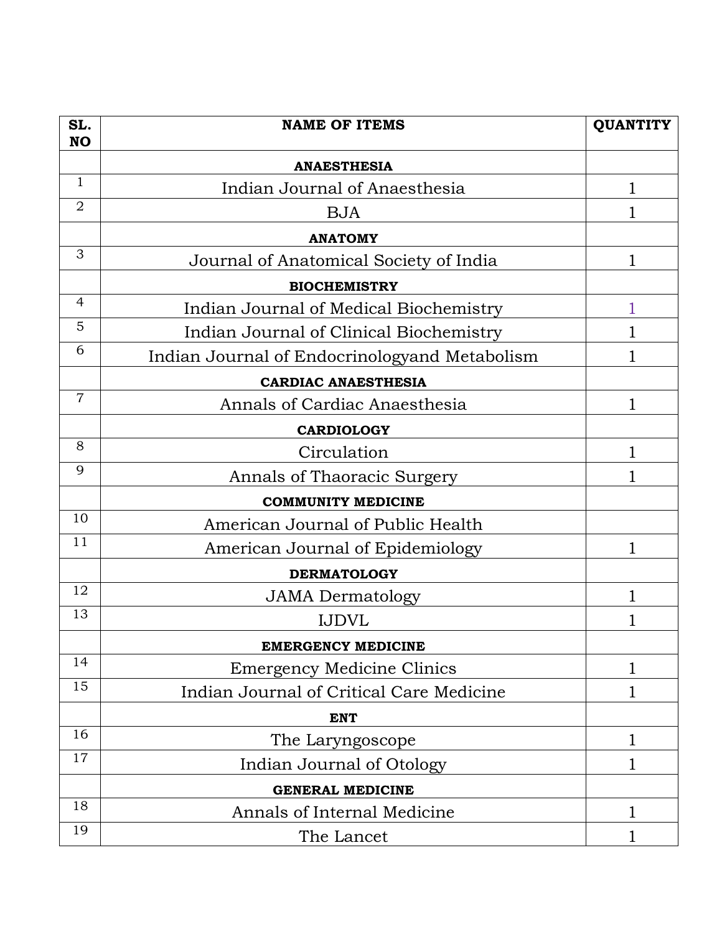| SL.<br><b>NO</b> | <b>NAME OF ITEMS</b>                          | <b>QUANTITY</b> |
|------------------|-----------------------------------------------|-----------------|
|                  | <b>ANAESTHESIA</b>                            |                 |
| $\mathbf{1}$     | Indian Journal of Anaesthesia                 | 1               |
| $\overline{2}$   | <b>BJA</b>                                    |                 |
|                  | <b>ANATOMY</b>                                |                 |
| 3                | Journal of Anatomical Society of India        | 1               |
|                  | <b>BIOCHEMISTRY</b>                           |                 |
| 4                | Indian Journal of Medical Biochemistry        |                 |
| 5                | Indian Journal of Clinical Biochemistry       |                 |
| 6                | Indian Journal of Endocrinologyand Metabolism |                 |
|                  | <b>CARDIAC ANAESTHESIA</b>                    |                 |
| $\overline{7}$   | Annals of Cardiac Anaesthesia                 | 1               |
|                  | <b>CARDIOLOGY</b>                             |                 |
| 8                | Circulation                                   | 1               |
| 9                | Annals of Thaoracic Surgery                   |                 |
|                  | <b>COMMUNITY MEDICINE</b>                     |                 |
| 10               | American Journal of Public Health             |                 |
| 11               | American Journal of Epidemiology              | 1               |
|                  | <b>DERMATOLOGY</b>                            |                 |
| 12               | <b>JAMA</b> Dermatology                       | 1               |
| 13               | <b>IJDVL</b>                                  |                 |
|                  | <b>EMERGENCY MEDICINE</b>                     |                 |
| 14               | <b>Emergency Medicine Clinics</b>             | 1               |
| 15               | Indian Journal of Critical Care Medicine      | 1               |
|                  | <b>ENT</b>                                    |                 |
| 16               | The Laryngoscope                              | 1               |
| 17               | Indian Journal of Otology                     | 1               |
|                  | <b>GENERAL MEDICINE</b>                       |                 |
| 18               | Annals of Internal Medicine                   | 1               |
| 19               | The Lancet                                    |                 |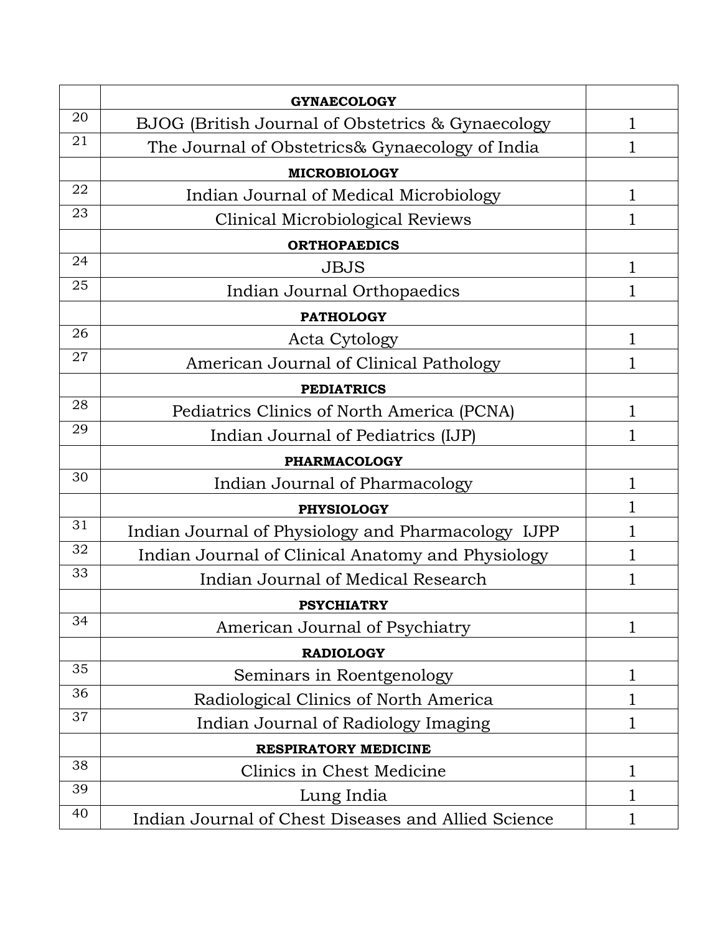|    | <b>GYNAECOLOGY</b>                                  |   |  |
|----|-----------------------------------------------------|---|--|
| 20 | BJOG (British Journal of Obstetrics & Gynaecology   | 1 |  |
| 21 | The Journal of Obstetrics& Gynaecology of India     |   |  |
|    | <b>MICROBIOLOGY</b>                                 |   |  |
| 22 | Indian Journal of Medical Microbiology              | 1 |  |
| 23 | Clinical Microbiological Reviews                    |   |  |
|    | <b>ORTHOPAEDICS</b>                                 |   |  |
| 24 | <b>JBJS</b>                                         | 1 |  |
| 25 | Indian Journal Orthopaedics                         | 1 |  |
|    | <b>PATHOLOGY</b>                                    |   |  |
| 26 | Acta Cytology                                       | 1 |  |
| 27 | American Journal of Clinical Pathology              | 1 |  |
|    | <b>PEDIATRICS</b>                                   |   |  |
| 28 | Pediatrics Clinics of North America (PCNA)          | 1 |  |
| 29 | Indian Journal of Pediatrics (IJP)                  | 1 |  |
|    | <b>PHARMACOLOGY</b>                                 |   |  |
| 30 | Indian Journal of Pharmacology                      | 1 |  |
|    | <b>PHYSIOLOGY</b>                                   |   |  |
| 31 | Indian Journal of Physiology and Pharmacology IJPP  | 1 |  |
| 32 | Indian Journal of Clinical Anatomy and Physiology   | 1 |  |
| 33 | Indian Journal of Medical Research                  |   |  |
|    | <b>PSYCHIATRY</b>                                   |   |  |
| 34 | American Journal of Psychiatry                      | 1 |  |
|    | <b>RADIOLOGY</b>                                    |   |  |
| 35 | Seminars in Roentgenology                           | 1 |  |
| 36 | Radiological Clinics of North America               | 1 |  |
| 37 | Indian Journal of Radiology Imaging                 | 1 |  |
|    | <b>RESPIRATORY MEDICINE</b>                         |   |  |
| 38 | Clinics in Chest Medicine                           | 1 |  |
| 39 | Lung India                                          | 1 |  |
| 40 | Indian Journal of Chest Diseases and Allied Science |   |  |